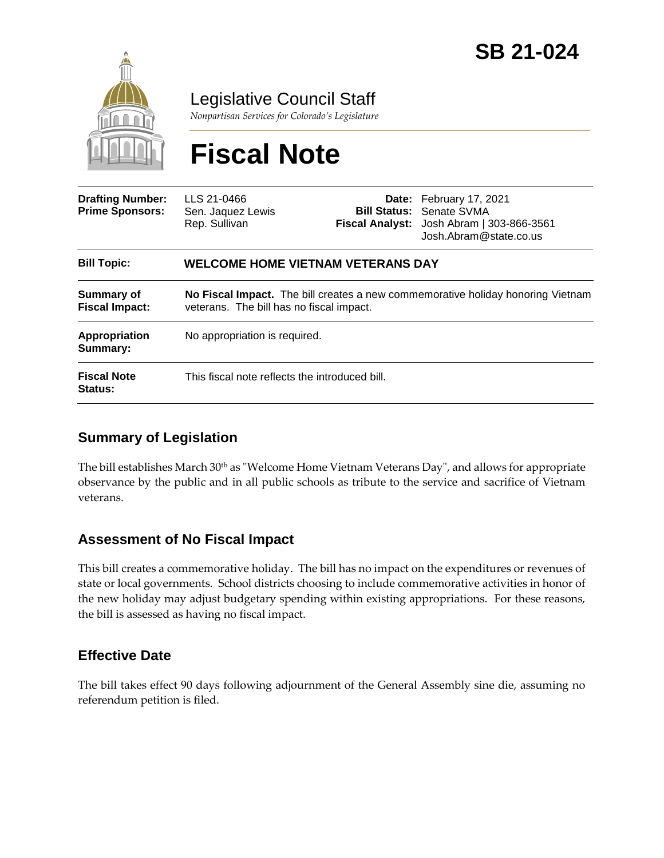

Legislative Council Staff

*Nonpartisan Services for Colorado's Legislature*

# **Fiscal Note**

| <b>Drafting Number:</b><br><b>Prime Sponsors:</b> | LLS 21-0466<br>Sen. Jaquez Lewis<br>Rep. Sullivan                                                                           |  | Date: February 17, 2021<br><b>Bill Status: Senate SVMA</b><br>Fiscal Analyst: Josh Abram   303-866-3561<br>Josh.Abram@state.co.us |
|---------------------------------------------------|-----------------------------------------------------------------------------------------------------------------------------|--|-----------------------------------------------------------------------------------------------------------------------------------|
| <b>Bill Topic:</b>                                | <b>WELCOME HOME VIETNAM VETERANS DAY</b>                                                                                    |  |                                                                                                                                   |
| Summary of<br><b>Fiscal Impact:</b>               | No Fiscal Impact. The bill creates a new commemorative holiday honoring Vietnam<br>veterans. The bill has no fiscal impact. |  |                                                                                                                                   |
| Appropriation<br>Summary:                         | No appropriation is required.                                                                                               |  |                                                                                                                                   |
| <b>Fiscal Note</b><br>Status:                     | This fiscal note reflects the introduced bill.                                                                              |  |                                                                                                                                   |

### **Summary of Legislation**

The bill establishes March  $30<sup>th</sup>$  as "Welcome Home Vietnam Veterans Day", and allows for appropriate observance by the public and in all public schools as tribute to the service and sacrifice of Vietnam veterans.

#### **Assessment of No Fiscal Impact**

This bill creates a commemorative holiday. The bill has no impact on the expenditures or revenues of state or local governments. School districts choosing to include commemorative activities in honor of the new holiday may adjust budgetary spending within existing appropriations. For these reasons, the bill is assessed as having no fiscal impact.

#### **Effective Date**

The bill takes effect 90 days following adjournment of the General Assembly sine die, assuming no referendum petition is filed.